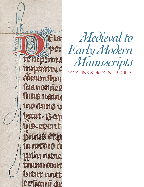

SOME INK & PIGMENT RECIPES *Medieval to Early Modern Manuscripts*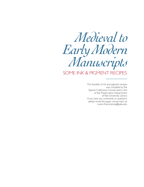SOME INK & PIGMENT REC *Medieval to Early Modern Manuscripts*

This booklet of ink and pigment recipes was compiled by the Special Collections Conservation Unit of the Preservation Department of Yale University Library. If you have any comments or questions please email the paper conservator at: marie-france.lemay@yale.edu.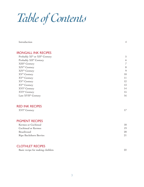*Table of Contents*

| Introduction                                           | $\overline{4}$ |
|--------------------------------------------------------|----------------|
| <b>IRONGALL INK RECIPES</b>                            |                |
| Probably XI <sup>th</sup> or XII <sup>th</sup> Century | 5              |
| Probably XII <sup>th</sup> Century                     | 6              |
| XIII <sup>th</sup> Century                             | $\overline{7}$ |
| XIV <sup>th</sup> Century                              | 8              |
| XIV <sup>th</sup> Century                              | 9              |
| XV <sup>th</sup> Century                               | 10             |
| XV <sup>th</sup> Century                               | 11             |
| XV <sup>th</sup> Century                               | 12             |
| XV <sup>th</sup> Century                               | 13             |
| XVI <sup>th</sup> Century                              | 14             |
| XVI <sup>th</sup> Century                              | 15             |
| Late XVII <sup>th</sup> Century                        | 16             |
| <b>RED INK RECIPES</b>                                 |                |
| $\mathbf{XVI}^{\text{th}}$ Century                     | 17             |
| <b>PIGMENT RECIPES</b>                                 |                |
| Kermes or Cochineal                                    | 18             |
| Cochineal or Kermes                                    | 19             |
| Brazilwood                                             | 20             |
| Ripe Buckthorn Berries                                 | 21             |

# CLOTHLET RECIPES

Basic recipe for making clothlets 22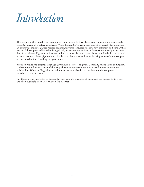*Introduction*

The recipes in this booklet were compiled from various historical and contemporary sources, mostly from European or Western countries. While the number of recipes is limited, especially for pigments, an effort was made to gather recipes spanning several centuries to show how different and similar they can be. Ink recipes are limited to irongall ink, as carbon ink recipes in Western manuscripts are very few, if not absent. Pigment recipes are limited to those obtained from plants or animals, in the form of lakes or clothlets. Lake pigment and clothlet samples and swatches made using some of these recipes are included in the Traveling Scriptorium kit.

For each recipe the original language (whenever possible) is given. Generally this is Latin or English. Unless noted otherwise, most of the English translations from the Latin are the ones given in the publication. When an English translation was not available in the publication, the recipe was translated from the French.

For those of you interested in digging further, you are encouraged to consult the orginal texts which are often available in PDF format on the internet.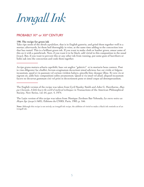*Irongall Ink*

# PROBABLY XI<sup>th</sup> or XII<sup>th</sup> CENTURY

## **190. The recipe for green ink**

Take ripe seeds of the shrub *caprifolium*, that is in English gatetriu, and grind them together well in a mortar; afterwards, let them boil thoroughly in wine, at the same time adding to the concoction iron that has rusted. This is a brilliant green ink. If you want to make cloth or leather green, smear some of this on it with a paintbrush. Now, if you want it to be black, add vitriol to this composition in the usual [way]. But, if you want to prevent this or any other ink from running, put some gum of hawthorn or holm oak into the concoction and cook them together.

Accipe grana matura arboris caprifolii, haec est anglice "galetrici" et in mortario bene contere. Post in vino diligenter fac ebulliri, ferrum eruginatum decoctioni simul adiciens; hoc est viride et fulgens incaustum, quod si vis pannum vel corium viridem habere, pincello hinc desuper illine. Si vero vis ut nigrum sit, adde huic compositioni solito atramentum. Quod si vis istud vel aliud, aliquod incaustum facere ne decurrat gummam cini vel prini in decoctionem pone et simul coque ad detemperandum.

The Latin version of this recipe was taken from Monique Zerdoun Bat-Yehouda, *Les encres noires au Moyen Âge (jusqu'à 1600)*, Éditions du CNRS, Paris, 1983, p. 166.

**Note:** Although this recipe is not strictly an irongall ink recipe, the addition of vitriol to make a black ink reminds us of an irongall ink.

The English version of the recipe was taken from Cyril Stanley Smith and John G. Hawthorne, *Mappae Clavicula. A little key to the world of medieval techniques* in Transactions of the American Philosophical Society, New Series, vol. 64, part. 4, 1974.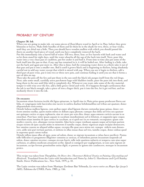# PROBABLY XII<sup>th</sup> CENTURY

#### **Chapter 38. Ink**

When you are going to make ink, cut some pieces of [haw]thorn wood in April or in May, before they grow blossoms or leaves. Make little bundles of them and let them lie in the shade for two, three, or four weeks, until they are dried out a little. Then you should have wooden mallets with which you should pound the thorn on another hard piece of wood, until you have completely removed the bark.

Put this immediately into a barrel full of water. Fill two, three, four, or five barrels with bark and water and so let them stand for eight days, until the water absorbs all the sap of the bark into itself. Next, pour this water into a very clean pan or cauldron, put fire under it and boil it. From time to time also put some of the bark itself into the pan so that, if any sap has remained in it, it will be boiled out. After boiling it a little, take out the bark and again put more in. After this is done, boil the remaining water down to a third, take it out of that pan and put it into a smaller one. Boil it until it grows black and is beginning to thicken, being absolutely careful not to add any water except that which is mixed with sap. When you see it begin to thicken, add a third part of pure wine, put it into two or three new pots, and continue boiling it until you see that it forms a sort of skin on top.

Then take the pots off the fire and put them in the sun until the black ink purges itself from the red dregs. Next, take some small, carefully sewn parchment bags with bladders inside, pour the pure ink into them, and hang them in the sun until [the ink] is completely dry. Whenever you want, take some of the dry material, temper it with wine over the fire, add a little green vitriol and write. If it happens through carelessness that the ink is not black enough, take a piece of iron a finger thick, put it into the fire, let it get red-hot, and immediately throw it into the ink.

#### **De encausto**

Incaustum etiam facturus incide tibi ligna spinarum, in Aprili siue in Maio prius quam producant flores aut folia, et congregans inde fasciculos sine iacere in umbra duabus hebdomadibus uel tribus aut quatuor, donec aliquantulum exsiccentur.

Deinde habeas malleos ligneos, cum quibus super aliud lignum durum contundas ipsas spinas, donec corticem omnino euellas, quem statim mittes in dolium aqua plenum; cumque duo dolia uel tries seu quatuor aut quinque cortice et aqua repleueris, sine sic stare per octo dies, donec aqua omnem corticis sucum in se emordeat. Post haec mitte ipsam aquam in cacabum mundissimum uel in lebetem, et supposito igne coque; interdum etiam immitte de ipso cortice in cacabum, ut si quid suci in eo remansit, excoquatur; quam cum modice coxeris, eice, aliumque rursus immitte. Quo facto coque residuam aquam usque ad tertiam partem sicque eiciens de ipso cacabo mitte in minorem et tamdiu coque, donec nigrescat atque incipiat densescere, hoc omnino cauens ne aliquod addas aquae, excepta illa quae suco mixta est; cumque uideris eam densescere, adde uini puri tertiam partem, et mittens in ollas nouas duas uel tres, tamdiu coque, donec uideas quod in supremo quasi cutem trahat.

Deinde tollens ipsas ollas ab igne, pone ad solem, donec se nigrum incaustum a rubea faece purificet. Postea tolle folliculos ex pergameno diligenter consutos ac uesicas, et infundens purum incaustum suspende ad solem, donec omnino siccetur; cumque siccum fuerit, tolle inde quotiens uolueris et tempera cum uino super carbones, et addens modicum atramenti scribe. Quod si contigerit per negligentiam, ut non satis nigrum sit incaustum, accipe ferrum grossitudine unius digiti, et ponens in ignem sine candescere, moxque in incaustum proice.

This recipe was taken from Theophilus, *On Divers Arts. Theoremost Medieval Treatise on Painting, Glassmaking and Metalwork*, Translated from the Latin with Introduction and Notes by John G. Hawthorne and Cyril Stanley Smith, Dover Publications Inc., New York, 1979, p. 42.

The Latin version was taken from Monique Zerdoun Bat-Yehouda, *Les encres noires au Moyen Âge (jusqu'à 1600)*, Éditions du CNRS, Paris, 1983, p. 156.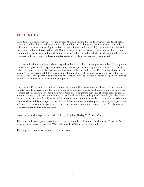Latin Ink. Take an earthen vase (or jar or pan) that can contain 8 pounds of water; then (add) half a pound of small gall nuts and crush them well; then boil until (the water, the mixture) is reduced by half; then take three ounces of gum arabic and grind it well; and pour (add) the gum to the mixture in the jar and boil it until reduced by half. Remove the jar from the fire and take 4 ounces of vitriol and one pound of warm wine and mix them together in another jar and add little by little to the ink, stirring well. Leave it to rest for two days, and afterwards, every day, stir four times with a stick.

The English version was translated from the French.

Inc laustum| latinum; accipe vas de terra quod capiat VIII l. llibras| aque; postea mediam libram galette et tere bene ; postea bulli usque ad medietatem, tunc accipe tres untias gummi arabici et tere bene et colato illo quod est in oll |a| apponatur gumma, tunc bulliat ad medietatem. Postea aufer ab igne et tunc accipe 4 uncias vitreoli et l. |libram| vini calidi aliquantulum et debes miscere vinum et vitreolum in alio vase bene, tunc paulatim apponatur ad inc |austum| miscendo senper bene; ita stet per duos dies et quolibet die moveatur quarter cum baculo postea.

Encre latine. Prends un vase de terre (ou un pot ou un poêlon) qui contienne 8 livres d'eau; ensuite (ajoute) une demi-livre de petites noix de galle et écrase bien; ensuite fais bouillir jusqu'a ce que (l'eau, le mélange) soit réduit de moitié; puis prends trois onces de gomme arabique et écrase bien; et que la gomme soit versée (ajoutée) au mélange qui est dans le récipient, puis que cela bouille (faire bouillir) jusqu'à réduction de moitié. Ensuite, retire du feu et puis prends 4 onces de vitriol et une livre de vin un peu chaud, et tu dois mélanger le vin et le vitriol dans un autre vase (récipient), puis l'ajouter peu à peu à l'encre, toujours en mélangeant bien. Que cela reste ainsi pendant deux jours, et après cela, chaque jour, remue quatre fois avec un bâton.

From a manuscript kept at the British Library, London, Harley 3915, fol. 148 v.

The Latin and French versions of this recipe were taken from Monique Zerdoun Bat-Yehouda, *Les encres noires au Moyen Âge (jusqu'à 1600)*, Éditions du CNRS, Paris, 1983, p. 247.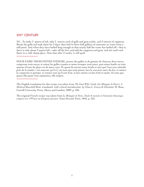351. To make 3 quarts of ink, take 2 ounces each of galls and gum arabic, and 3 ounces of copperas. Break the galls and soak them for 3 days, then boil in three half gallons of rainwater or water from a still pond. And when they have boiled long enough so that nearly half the water has boiled off—that is, there is only about 3 quarts left—take off the fire, and add the copperas and gum, and stir until cool. Store in a cold, damp place. Note that after 3 weeks, it will spoil.

POUR FAIRE TROIS PINTES D'ENCRE, prenez des galles et de gomme de chascun deux onces, couperose trois onces; et soient les galles cassées et mises tremper trois jours, puis mises boulir en trois quartes d'eaue de pluye ou de mare coye. Et quant ils auront assez boulu et tant que l'eau sera esboulie près de la moitié, c'est assavoir qu'il n'y ait mais que trois pintes, lors le convient oster du feu, et mettre la couperose et gomme, et remuer tant qu'il soit froit, et lors mettre en lieu froit et moite. Et nota que quant elle passe trois sepmaines, elle empire.

The English translation for this recipe was taken from *The Good Wife's Guide (Le Ménagier de Paris), A Medieval Household Book*, translated, with critical introduction, by Gina L. Greco & Christine M. Rose, Cornell University Press, Ithaca and London, 2009, p. 336.

The original French recipe was taken from *Le Ménagier de Paris. Traité de morale et d'économie domestique composé vers 1393 par un bourgeois parisien*, Tome Second, Paris, 1846, p. 265.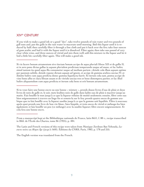If you wish to make a good ink or a good "dye", take twelve pounds of rain water and two pounds of gall nuts and, put the galls in the rain water to macerate until morning. Boil this liquor until it is reduced by half; then carefully filter it through a fine cloth and put it back over the fire; take four ounces of gum arabic and boil it with the liquor until it is dissolved. Filter again; then take one pound of very clear white wine, and three ounces of vitriol and mix them well; add this mixture to the liquor and let it boil a little bit; carefully filter again. This will make a good ink.

The English version was translated from the French.

Si vis facere bonum atramentum sive tinctam bonam accipe de aqua pluviali Iibras XII et de gallis II, et in sero pone dictas gallas in aquam pluvialem predictam temperando usque ad mane, et fac bulire simul tantum ita quod aqua illa consumetur usque ad mediam partem ; deinde cola illam aquam optime per pannum subtile, deinde repone dictam aquam ad ignem, et accipe de gumma arabica uncias IV, et dimitte bulire cum aqua predicta donec gumma liquefacta fuerit. Et iterum cola eam, postea accipe de vino bono albo et clara libram unam et de vitriolo uncias tres et bene distempera pariter, et fac illud bulire aliquantulum cum aqua predicta et iterum cola bene et erit bonum atramentum.

Si tu veux faire une bonne encre ou une bonne « teinture », prends douze livres d'eau de pluie et deux livres de noix de galle et, le soir, mets lesdites noix de galle dans ladite eau de pluie à macérer jusqu'au matin. Fais bouillir le tout jusqu'à ce que la liqueur réduise de moitié seulement; ensuite, filtre cette eau bien soigneusement à travers un linge fin et remets-la sur le feu; prends quatre onces de gomme arabique que tu fais bouillir avec la liqueur susdite jusqu'à ce que la gomme soit liquéfiée. Filtre à nouveau; après quoi prends une livre de bon vin blanc, bien limpide, et trois onces de vitriol et mélange-les bien également; et fais bouillir un peu (ce mélange) avec la susdite liqueur; filtre encore soigneusement. Et cela fera une bonne encre.

From a manuscript kept at the Bibliothèque nationale de France, latin 8651, f. 88 v., recipe transcribed in Bibl. de l'École des Chartes, tome 86 (1925), p. 484.

The Latin and French versions of this recipe were taken from Monique Zerdoun Bat-Yehouda, *Les encres noires au Moyen Âge (jusqu'à 1600)*, Éditions du CNRS, Paris, 1983, p. 178 and 255.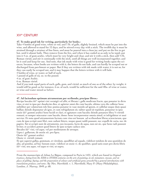## **47. To make good ink for writing, particularly for books.-**

Take 4 bottles of good wine, white or red, and 1 lb. of galls, slightly bruised, which must be put into the wine, and allowed to stand for 12 days, and be stirred every day with a stick. The twelfth day it must be strained through a strainer of fine linen, and must be poured into a clean jar, and put on the fire to get hot, until it almost boils. Then remove from the fire, and when it has cooled so as only to be tepid, put into it 4 oz. of gum-arabic, which must be very bright and clear, and stir it with a stick, then add ½ lb. Roman vitriol, and stir it continually with the stick, until all things are well incorporated together, and let it cool and keep for use. And note, that ink made with wine is good for writing books upon the sciences, because, when books are written with it, the letters do not fade, and can hardly be scraped out or discharged from parchment or paper. But if they are written with ink made with water, it is not so, for they can easily be scraped out, and it may happen that the letters written with it will fade.

4 bottles of wine, or water, or half of each. 1 pound of galls of xij. oz. to the pound.

4 oz. of gum Arabic.

6 oz. Roman vitriol.

And if you took equal parts of each, galls, gum, and vitriol, as much of one as of the other, by weight, it would still be good; as for instance, 6 oz. of each, would be sufficient for the said 4lbs. of wine or water, or wine and water mixed as before.

## **47. Ad faciendum optimum attramentum por scribendo, precipue libros.-**

Recipe bocales iiiior optimi vini vermigii vel albi, et libram i. galle modicum fracte, que ponatur in dicto vino, et stet in ipso per duodecim dies, et agitetur omni die cum baculo, ultima vero die colletur bene subtiliter per colatorium tele line; postea ponatur in vase mondo ad ignem, et callefiat usque dum quasi bulliat; deinde deponatur ab igne, et cum refrigidatum sit, taliter quod sit tepidum, ponantur in ipso onzie iiiior gummi arabici bene lucidi et clari, et agitature cum baculo; deinde ponature libra ½ vitrioli romani, et semper misceatur cum baculo, donec bene incorporentur omnia simul, et infrigidetur et usui servtur. Et nota quod attramentum factum cum vino est bonum ad scribendum libros scienciarum, que cum de ipso scripti sunt libri, non cadunt littere, neque quasi raddi possunt, nec expelli de carta, nec de papiro. Set si scripti sunt de attramento, seu incausto, facto de aqua, non est sic, que bene radi possunt leviter, et accidere potest quod littere de ipso scripte caduce sint.

Bocales iiii<sup>or</sup> vini, vel aque, vel per medietatem de utroque.

Lipra i. gallarum, de onziis xii. pro lipra.

Onzie iiii<sup>or</sup> gummi arabici.

Onzie vi. vitrioli romani.

Et qui caperet gallas, gummam, et vitrolum, quodlibet ad equale, videlicet totidem de uno quotidem de alio, ad pondus, ad huc bonum esset, videlicet ut onzie vi. de quolibet, quod satis esset pro dictis libris iii<sup>or</sup> vini, seu aque, vel aque et vini, ut supra.

From the manuscripts of Jehan Le Bégue, composed in Paris in 1431, which are found in *Original treatises, dating from the XIIth to XVIIIth centuries on the arts of painting, in oil, miniature, mosaic, and on glass; of gilding, dyeing, and the preparation of colours and artificial gems; preceded by a general introduction; with translations,prefaces, and notes*. By Mrs. Merrifield. v. 1, Merrifield, Mary P. (Mary Philadelphia), London, J. Murray, 1849, p. 68.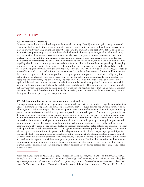#### **303. To make ink for writing.-**

Observe that choice and tried writing must be made in this way. Take iij ounces of galls, the goodness of which may be known by their being wrinkled. Take an equal quantity of gum arabic, the goodness of which may be known by its being bright and easily broken, and the smallest is the best. *Item*. Take 3 ½ oz. of Roman vitriol [sulphate copper?], the goodness of which may be known by its being a blue color, and solid, and coarse after the manner of coarse salt. Afterwards, take four pounds, of twelve ounces to the pound, of clear water, which if it is rain water, or water from a cistern in which rain water is kept, is better than well, spring or river water; and put it into a new metal or glazed earthen jar, which has never been used for anything else, in order that it may be pure and clean from all filth; and into this water, put the galls roughly pounded so that each grain of gall may be broken into four or five pieces, and then let the galls boil in the water without gum or vitriol, until the water is reduced to one-half. Then let it be strained through a cloth or piece of linen, and be put back without the substance of the galls in the vase over the fire, and let it remain there until it begins to boil, and then put into it the gum ground and pulverized, and let it boil gently for a short time, namely, until the gum is dissolved. Having done this, pour into it directly two pounds of the best pure and white wine, and stir it a little, and then immediately add the vitriol well pulverized, stir it again a little, and then remove the vase from the fire, and mix the whole together in order that the vitriol may be well incorporated with the galls, and the gum, and the water. Having done all these things in order, put the vase with the ink in the open air, and let it stand for one night, in order that the air make it brilliant and more black. And therefore if it be done in fine weather, it will be better and finer. Afterwards, strain it through a cloth, and put it by, and keep it for use.

#### **303. Ad faciendum incaustum seu atramentum pro scribendo.-**

Nota quod atramentum electrum et probatum hoc modo debet fieri. Accipe unciae tres gallae, cujus bonitos apparet si minuta in crispa est. Totidem accipe de gummi arabico, cujus bonitas apparet si lucidum et de facili frangatur, et minutum magis valet. Item accipe oncias tres et dimidiam vitrioli Romani, cujus bonitas apparet si est coelesti coloris et solidum et grossum, quasi in modum salis grossi. Postea accipe quatuor libras de onciis duodecim per libram aquae clarae, quae si est pluvialis vel de cisterna reservante aquas pluviales melior est quam putei nec fontis nec fluvii et pone eam in vase metallino vel figuli vitriato novo, quod non sit alteri usui deputatum, ut sit purum et mundum ab omni sorde, et in ipsa aqua mitte gallam grosso modo tritam, ita quod de quolibet grano gallae fiant quatuor vel quinque particulae, et sic bulliat galla in aqua absque gummi et vitriolo, donec aqua reddatur ad medium comminuta. Postea coletur per pannum seu telam et absque substantia gallae reponatur in vase ad ignem et sic tantum stet quod incipiat bullire, et tunc gummi tritum et pulverizatum mittatur in ipsa et bulliat aliquantulum, scilicet leniter usque : quo gummi liquefactum sit. His factis, immediate apponas duas libras optimi vini puri et albi et aliquantulum misce, et immediate mitte vitriolum bene pulverizatum et misceas parum, et statim eleva vas ab igne, et misceas simul totum, ita quod bene incorporetur vitriolum cum galla, et gummi, et aqua. Omnibus his peractis ex ordine pone vas cum ipso attramento ad aerem serenum, et stet per una noctem, ut serenum reddat ipsum lucidum et magis nigrum. Et ideo si fiat sereno tempore, magis valet et pulcrius est. Et postea coletur per telam, et reponetur, et usui servetur.

From the manuscripts of Jehan Le Bégue, composed in Paris in 1431, which are found in *Original treatises, dating from the XIIth to XVIIIth centuries on the arts of painting, in oil, miniature, mosaic, and on glass; of gilding, dyeing, and the preparation of colours and artificial gems; preceded by a general introduction; with translations,prefaces, and notes.* By Mrs. Merrifield. v. 1, Merrifield, Mary P. (Mary Philadelphia), London, J. Murray, 1849, p. 288.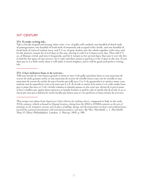#### **374. To make writing ink.-**

Take a bocale of good and strong white wine, 4 oz. of galls well crushed, one handful of dried rinds of pomegranates, one handful of fresh bark of mountain ash scraped with a knife, and one handful of fresh bark of roots of walnut trees, and 2 ½ oz. of gum Arabic; mix the whole together with wine, and let the mixture remain for 6 to 8 days in the sun, stirring it well 4 or 6 times every day. Then add 2 ½ oz. of Roman vitriol, and mix it frequently, and let it remain so for several days; then put it over the fire to boil for the space of one *miserere*, let it cool, and then strain it and leave it for 2 days in the sun. If you then put in it a little roche alum it will make it much brighter, and it will be good and perfect writing ink.

#### **374. A fare inchostro bono et da scrivare.-**

Tolli uno bocale de vino bianco grande et bono et once 4 de galla amachata bene et una manciata de scorze de mele granate seche et una manciata de scorze de ornello fresco rase con lo cortello et una manciata de scorze de raiche de noce fresche poi tollj once 2 et ½ de gomarabico et mistica omne cosa insiemj cum lo sopradicto vino et fa stare per 6 o 8 di al sole et omne di lo mista 4 o 6 volte molto bene poi ce pone doi once et ½ de vitriolo romano et mistalo spesso et stia cosci per alcunj di et poi el pone al foco a bullire per spatio duno miserere et lassalo fredare et poil lo cola et metilo doi dj al sole et se ce mectj poi uno poco dalumj de rocho farallo piu lustro assa et vira perfecta et bona intinta da scrivare.

This recipe was taken from *Segreti per Colori (Secrets for making colors)*, composed in Italy in the early XVth century, which is found in *Original treatises, dating from the XIIth to XVIIIth centuries on the arts of painting, in oil, miniature, mosaic, and on glass; of gilding, dyeing, and the preparation of colours and artificial gems; preceded by a general introduction; with translations,prefaces, and notes.* By Mrs. Merrifield. v. 1, Merrifield, Mary P. (Mary Philadelphia), London, J. Murray, 1849, p. 590.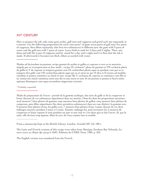How to prepare the ink: take some gum arabic, gall nuts and copperas and grind each one separately in a mortar. Use the following proportions for each: nine parts\* of gum; seven parts of gall nuts; five parts of copperas, then dilute separately (the first two substances) in different jars: the gum with 9 parts of water and the gall nuts with 7 parts of water. Leave both to soak for 2 days and 2 nights. Then, mix them and add the 5 part of copperas and let stand for a day and a night and it is then that the ink is made. If afterwards it becomes too thick, dilute as needed with water.

Modus ad faciendum incaustum: recipe gummi de arabia et galles et coprose et tere ea in mortario singula per se et proporciona ea hoc modo : recipe IX coclearia\* plena de gummo et VII coclearia plena de gallis et V de coprose et tempera gummi cum IX coclearibus plenis aque in quodam vase per se et tempera (le) galle cum VII coclearibus plenis aque per se et stent sic per II dies et II noctes ad modefaciendum et postea commisce ea simul et tunc recipe illa V. coclearia de coprose et commisce cum illis et sic omnia iste simul commixta stent una die et una nocte et tunc fit incaustum et postea si fuerit nimis spissum distempera cum aqua secundum exigenciam racionis.

\* Probably a spoonful.

Mode de préparation de l'encre : prends de la gomme arabique, des noix de galle et de la couperose et broie chacune de ces substances séparément dans un mortier. Dose-les dans les proportions suivantes: neuf mesures\* bien pleines de gomme; sept mesures bien pleines de galles; cinq mesures bien pleines de couperose, puis dilue séparément (les deux premières substances) dans un vase distinct: la gomme avec 9 mesures bien pleines d'eau, les galles avec 7 mesures bien pleines d'eau. Laisse chacun de ces deux mélanges macérer pendant 2 jours et 2 nuits. Ensuite, mélange-les, puis incorpore les 5 mesures de couperose et laisse reposer le tout pendant un jour et une nuit et c'est alors que se fait l'encre. Si, par la suite, elle devient trop épaisse, dilue-la avec de l'eau comme bon te semble.

From a manuscript kept at the British Library, London, Arundel 507, fol. 100 v.

The Latin and French versions of this recipe were taken from Monique Zerdoun Bat-Yehouda, *Les encres noires au Moyen Âge (jusqu'à 1600)*, Éditions du CNRS, Paris, 1983, p. 262.

The English version was translated from the French.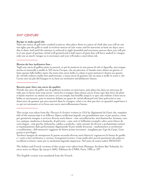## **Recipe to make good ink:**

Take one ounce of gall nuts crushed to pieces, then place them in a piece of cloth that you will tie not too tight; put the galls to soak in twelves ounces of rain water and let macerate at least six days; once this is done, boil until the mixture is reduced to eight beautiful and unctuous ounces; then you will put in it one quart of german vitriol well ground and a half ounce of gum that will have soaked in vinegar; only use as much vinegar as is necessary and you will make a marvelous ink.

## **Ricetta da fare inchiostro fino :**

Togli una oncia di galleto pisto in pezzeti, et poi lo metterai in una pezza di tela et ligarella, non troppo stretta et meteralla a mollo in XII oncia d'acqua, che sia piovana, et lassalo stare almen sei giorni, et fatto questo fallo bollire tanto che torni otto oncie bello et colato et puoi mettarevi dentro un quarto de vetriolo todesco molto ben spolverizato, e meza oncia di gumma che sia stata a molle in aceto e che l'aceto non sia più del bisogno et tu farai un inchiostro mirabilmente buono.

## **Recette pour faire une encre de qualité:**

Prends une once de galles (ou de gallons) écrasées en morceaux, puis place-les dans un morceau de toile que tu lieras sans trop serrer ; mets-les à tremper dans douze onces d'eau (qui doit être) de pluie et laisse macérer au moins six jours; ceci accompli, fais bouillir jusqu'à ce que cela réduise à huit onces belles et onctueuses; puis tu mettras dedans un quart de vitriol allemand très bien pulverisé et une demi-once de gomme qui aura macéré dans le vinaigre; celui-ci ne doit pas être en quantité supérieure à ce qui est nécessaire et tu feras une encre merveilleusement bonne.

This recipe was taken from the *Thesauro de Scrittori* written in 1515 by Sigismond de Fanti; the complete title of the manuscript is as follows: Opera artificiosa laquale con grandissima arte, si per pratica, come per geometria insegna a scrivere diverse sorte littere : cioe cancellarescha, merchantescha, formata, curs iva, antiqua, moderna et bastarda, di piil sorte : cum varii et bellissimi exempli e altre sorte littere de varie lingue : cioè grecha, hebraicha, caldea a arabicha : tutte estratte da diversi e probatissimi auttori: et massimamente dalo perfectissimo Sigismundo Fanto nobile ferrarese : mathematico et archittetor e eruditissimo : deli mesure/e/ raggione de littere primo inventore : intagliata per Ugo da Carpi. Cum gratia et privilegio.

Anchora insegna de atemperare le penne secundo diverse sorte littere/e/ cognoscere la bonta de quelle, e / carti; e fare inchiostro e verzino. Cenaprio/e/vernice. Cum multi altri secreti pertinenti alo solito et eccellenti scrittore come per te medesimo legendo impararai. Nel anno di nostra saluti MDXXXV.

The Italian and French versions of this recipe were taken from Monique Zerdoun Bat-Yehouda, *Les encres noires au Moyen Âge (jusqu'à 1600)*, Éditions du CNRS, Paris, 1983, p. 297.

The English version was translated from the French.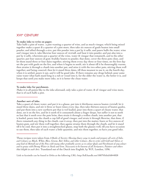## **To make inke to write on paper.**

Take halfe a pint of water, a pint wanting a quarter of wine, and as much vinegar, which being mixed together make a quart  $\alpha$  a quarter of a pint more, then take six ounces of gauls beaten into small pouder, and sifted through a sive, put this pouder into a pot by it selfe, and poure halfe the water, wine and vinegar into it, take likewise four ounces of victriall, and beat it into pouder, and put also into a pot by it selfe, whereinto put a quarter of the wine, water & vinegar that remaineth, and to the other quarter, put four ounces of gum Arabike beaten to pouder, that done, cover the three pots close, and let them stand three or four daies together, stirring them every day three or four times, on the first day set the pot with gauls on the fire, and when it begins to seeth, stir it about till it be thouroughly warme, then straine it through a cloath into another pot, and mixe it with the two other pots, stirring them well together, and being couered, then let it stand three daies, till thou meanest to use it, on the fourth day, when it is settled, poure it out, and it will be good inke. If there remaine any dregs behind, pour some raine water (that hath stand long in a tub or vessel into it, for the older the water is, the better it is, and keepe that until you make more inke, so it is better the clean water.

#### **To make inke for parchment.**

Make it in all points like to the inke aforesaid, only take a pint of water, & of vinegar and wine more, that is of each halfe a pint.

## **Another sort of inke.**

Take a quart of cleare water, and put it in a glasse, put into it thirtheene ounces beaten victriall, let it stand three daies, and stir it three or foure times every day, then take thirteen ounces of beaten gaules, and put them into a new earthern pot that is wel leaded, pour into them a quart of cleane water, that done, set it on the fire, and let it seeth til it consumeth about a finger deepe, but suffer it not to seeth so fast that it seeth over the pots brim, then strain it through a wollen cloath, into another pot, that is leaded, poure into the cloath a cup full of good vineger, and strain it through likewise, that done, if there remaineth any thing in the cloath, cast it away, then put into the matter, foure or five ounces of beaten gum, and stir them well together, then againe straine them through the cloath, and let it stand till it be cool, then put it into a straightnecked glasse, stop both the glasses well, till you have occasion to use them, then take of each water a little quantitie, and mix them together, so have you good inke.

Link to facsimile can be found in Orbis at the following URL: http://hdl.handle.net/10079/bibid/6844828

These recipes were taken from *A Booke of Secrets: Shewing diuers ways to make and prepare all sorts of Inke, and Colours: as Black, White, Blew, Greene, Red, Yellow, and other Colours. Also to write with Gold and Silver, or any kind of Mettall out of the Pen; with many other profitable secrets as to colour Quils and Parchment of any colour: and to graue with Dtrong Water in Steele and Iron. Necessarie to be knowne of all Scriueners, Painters and others that delight in such Arts.* Translated out of the Dutch into English, by W.P., London, 1596.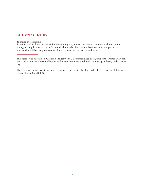# LATE XVII<sup>th</sup> CENTURY

## **To make excellent ink**

Raine water 3 gallons, of white wine vinegar a quart, gaules two pounds, gum arabeck one pound, pomegranate pills one quarter of a pound, all these bruised but not beat too small, copporus two ounces, this will be ready the sooner, if it stand near by the fire, or in the sun.

The following is a link to an image of the recipe page: http://beinecke.library.yale.edu/dl\_crosscollex/brbldl\_getrec.asp?fld=img&id=1118038

This recipe was taken from Osborn b115 (59r-58v), a commonplace book, part of the James Marshall and Marie-Louise Osborn Collection at the Beinecke Rare Book and Manuscript Library, Yale University.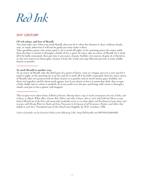# *Red Ink*

# **XVI<sup>th</sup> CENTURY**

## **Of red colour, and first of Brasill.**

You must take care when you seeth Brasill, that you do it when the element is clear, without clouds, rain, or wind, otherwise it will not be good you must make it thus:

Take quicklime poure rain water upon it, let it stand all night, in the morning poure the water softly from the lime or straine it through a cloath, & for a quart of water, take an ounce of Brasill, let it seeth till it be halfe consumed, then put into it one ounce of gum Arabike, two ounces of gum of a Cheritree, or else two ounces of cleane glue, straine it from the wood: you may likewise put into it some chalke beaten to pouder.

## **To seeth Brasill in another way.**

To an ounce of Brasill, take the third part of a quart of beere, wine or vinegar, put it in a new pot let it stand a night, in the morning set it on fire and let it seeth till it be halfe consumed, then for euery ounce of Brasill, take two pennyworth of alum, beaten to a pouder, and as much beaten gum Arabike, stir them wel together, and let them seeth againe, but if you desire to have it somewhat dark, then scrape a little chalke into it: when it seetheth, let it not seeth over the pot, and being cold, strain it through a cloath, and put it into a glasse well stopped.

Link to facsimile can be found in Orbis at the following URL: http://hdl.handle.net/10079/bibid/6844828

This recipes were taken from *A Booke of Secrets: Shewing diuers ways to make and prepare all sorts of Inke, and Colours: as Black, White, Blew, Greene, Red, Yellow, and other Colours. Also to write with Gold and Silver, or any kind of Mettall out of the Pen; with many other profitable secrets as to colour Quils and Parchment of any colour: and to graue with Dtrong Water in Steele and Iron. Necessarie to be knowne of all Scriueners, Painters and others that delight in such Arts*. Translated out of the Dutch into English, by W.P., London, 1596.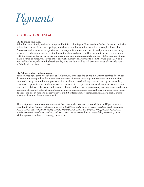

# KERMES or COCHINEAL

## **11. To make fine lake.-**

Take the ashes of oak, and make a ley, and boil in it clippings of fine scarlet of rubea de grana until the colour is extracted from the clippings, and then strain the ley with the colour through a linen cloth. Afterwards take some more lay, similar to what you first took, and heat it, and put into it some finely powdered roche alum, and let it stand until the alum is dissolved. Then strain it through the strainer with the liquor or ley in which the clippings were put, and immediately the ley will be coagulated, and make a lump or mass, which you must stir well. Remove it afterwards from the vase, and lay it on a new hollow brick, which will absorb the ley, and the lake will be left dry. You must afterwards take it off the brick and keep it for use.

## **11. Ad faciendum lacham finam.-**

Tolle cineres ligni cerri, vel roboris, et fac lecivium, et in ipso fac bulire cimaturam scarlate fine rubee de grana, tantum quod ex dicta cimatura extractus sit color; postea ipsum lessivum, cum dicta cimatura, colla per pannum lineum; postea accipe de alio lexivio simili suprascripti quod prius accepisti, et calefac, et pone in ipso de alumine roche trito subtiliter, et permitte donec alumen sit fusum, postea cum dicto colatorio cola ipsum in dicta alia collatura vel lexivio, in quo stetit cymatura, et subito dictum lessivium stringetur, et faciet unam bussaturam seu massam, quam mistica bene, et postea trahe ipsam de vase, et pone in madono concavo novo, qui bibet lessivium, et remanebit sicca dicta lacha, quam postea trahe de madone et serva usui.

This recipe was taken from *Exprimenta de Coloribus* in the Manuscripts of Jehan Le Bègue which is found in *Original treatises, dating from the XIIth to XVIIIth centuries on the arts of painting, in oil, miniature, mosaic, and on glass; of gilding, dyeing, and the preparation of colours and artificial gems; preceded by a general introduction; with translations,prefaces, and notes.* By Mrs. Merrifield. v. 1, Merrifield, Mary P. (Mary Philadelphia), London, J. Murray, 1849, p. 50.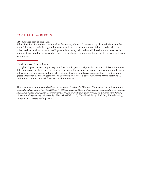# COCHINEAL or KERMES

## **116. Another sort of fine lake.-**

Take 12 grains of powdered cochineal or fine grana, add to it 2 ounces of ley; leave the infusion for about 2 hours; strain it through a linen cloth, and put it over hot cinders. When it boils, add to it pulverized roche alum of the size of 2 peas, when the ley will make a thick red scum; as soon as this happens throw it all on to a stretched linen cloth, which coagulum must afterwards be dried and made into tablets.

## **Un altra sorte di lacca fina.-**

R. Piglia 12 grani de cocciniglia , o grana fina fatta in polvere, si pone in due oncie di lissivio lasciandola in infusion due hore incirca poi si cola per pano lino, e si mette sopra cenere calda, quando vorrà bollire vi si aggiunge quanto due piselli d'allume di rocca in polvere, quando il liscivo farà schiuma grossa incarnata all'hora si getta tutto in un panno lino steso, e passarà il lissivo chiaro restando la schiuma nel panno, quale si fa seccare, e si fa tavolette.

This recipe was taken from *Ricette per far ogni sorte di colori, etc.* (Paduan Manuscript) which is found in *Original treatises, dating from the XIIth to XVIIIth centuries on the arts of painting, in oil, miniature, mosaic, and on glass; of gilding, dyeing, and the preparation of colours and artificial gems; preceded by a general introduction; with translations,prefaces, and notes.* By Mrs. Merrifield. v. 2, Merrifield, Mary P. (Mary Philadelphia), London, J. Murray, 1849, p. 702.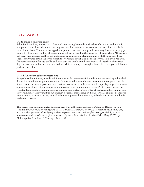## BRAZILWOOD

#### **14. To make a fine rose color.-**

Take fine brexilium, and scrape it fine, and take strong ley made with ashes of oak, and make it boil, and pour it over the said verzino into a glazed earthen saucer, so as to cover the brexilium, and let it stand for an hour. Then take the egg-shells, pound them well, and grind them very fine on a porphyry slab with clear water, and lay them on a new hollow brick, that the water may be absorbed. Afterwards, put them into a glazed earthen jar, and pound up some roche alum, and mix with the powdered eggshells; afterwards strain the ley in which the verxilium is put, and pour the ley which is dyed red with the verxilium upon the egg shells, and mix, that the whole may be incorporated together; afterwards dry the lake, not in the sun, but on a hollow brick, straining it through a linen cloth, and you will have a perfect rose colour.

## **14. Ad faciendum colorem rosete fine.-**

Accipe berxillium finum, et rade subtiliter, accipe de lessivio forti facto de cineribus cerri, quod fac bullire, et ipsum mitte desuper dicto versino, in una scutella terre vitreata tantum quod cooperiat verxillium, et stet per horam; postea accipe corticas ovorum, et trita bene, et molle super lapide porfirico cum aqua clara subtiliter, et pone super madono concavo novo ut aqua decicetur. Postea pone in scutella vitriata, deinde pista de alumine roche, et misce cum dictis corticis tritis, et postea cola lissivium in quo est verxillium, et lessivium illud rubefactum a verzilio mitte desuper dictas corticas, et misce ut incorporentur omnia, et postea desica, non ad solem, et super madono concavo, colando per telam, et habebis perfectam rosetam.

This recipe was taken from *Exprimenta de Coloribus* in the Manuscripts of Jehan Le Bègue which is found in *Original treatises, dating from the XIIth to XVIIIth centuries on the arts of painting, in oil, miniature, mosaic, and on glass; of gilding, dyeing, and the preparation of colours and artificial gems; preceded by a general introduction; with translations,prefaces, and notes.* By Mrs. Merrifield. v. 1, Merrifield, Mary P. (Mary Philadelphia), London, J. Murray, 1849, p. 52.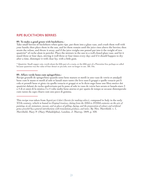# RIPE BUCKTHORN BERRIES

## **89. To make a good green with buckthorn.-**

Take small berries of buckthorn when quite ripe, put them into a glass vase, and crush them well with your hands; then place them in the sun, and let them remain until the juice rises above the berries; then strain the refuse, and throw it away, and if the juice weighs one pound put into it the weight of two quattrini\* of roche alum in powder. Place the mixture in the sun in a well-closed glass vase, and let it stand three or four days, stirring it well three or four times every day; and if it should happen to dry after a time, distemper it with clear ley, with a little gum.

\* Quattrini. Small copper coin, worth about the fifth part of a crazia, or the 60th part of a Florentine lira; perhaps so called because quattrino was the value of four denari or picciolo, now no longer in use. Alb. Diz.

## **89. Affare verde bono cum spingerbino.-**

Recipe granelli de spingerbino quando sono bene mature et metili in uno vaso de vetrio et amalpali bene cum le mano et metili al sole et lassali stare tanto che leve suso li grappi e quelle venacie poi li cola et premili bene et gieta via quella venacia et grappi et se lo dicto sugo fusse une libra metice doi quattrini dalumi de rocho spolverizato poi lo pone al sole in vaso de vetrio ben serato et lassalo stare 3 o 4 di et omni di lo mistica 3 o 4 volte molto bene atorno et per spatio de tempo se secasse distemperalo cum ranno da capo chiaro cum uno poco di gomma.

This recipe was taken from *Segreti per Colori (Secrets for making colors)*, composed in Italy in the early XVth century, which is found in *Original treatises, dating from the XIIth to XVIIIth centuries on the arts of painting, in oil, miniature, mosaic, and on glass; of gilding, dyeing, and the preparation of colours and artificial gems; preceded by a general introduction; with translations,prefaces, and notes.* By Mrs. Merrifield. v. 1, Merrifield, Mary P. (Mary Philadelphia), London, J. Murray, 1849, p. 420.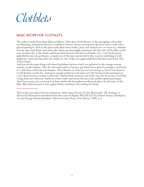# *Clothlets*

# BASIC RECIPE FOR CLOTHLETS

The color is made from these lilies as follows. Take these fresh flowers in the springtime when they are blooming, and pound them in a marble or bronze mortar and squeeze the juice with a cloth into a glazed porringer. And in this juice soak other linen cloths, clean and soaked once or twice in a solution of rock alum and dried. And when the cloths are thoroughly saturated with the juice of the lilies in this way, let them dry in the shade; and keep them between the leaves of books; for a very lovely green, splendid for use on parchment, is made out of this juice preserved in this way by combining it with giallorino. And note that after the cloths are dry, if they are again soaked in this juice and dried, they will be better.

And you do the same thing with those buckthorn berries which are gathered in the vintage season, namely, in this fashion. Take the aforesaid seeds or berries, put them into a glazed porringer, and break or crush them well with your fingers. Then dissolve in clear lye; not too strong, as much rock alum as it will dissolve on the fire. And pour enough of this lye and alum over the berries in the porringer to cover these berries, crushed as directed. And let them stand so, out of the way, for three days; and then wring them out with your hands in a linen cloth, and strain the juice into another glazed porringer. And if you want, you can keep it in linen cloths; do throughout as directed above for the juice of the lilies. But otherwise put it into a glass bottle, and keep it by sealing the bottle.

This recipe was taken from *An Anonymous 14th Century Treatise De Arte Illuminandi, The Technique of Manuscript Illumination* translated from the Latin of Naples MS XII.E.27 by Daniel Varney Thompson, Jr, and George Heard Hamilton, Yale University Press, New Haven, 1933, p. 6.